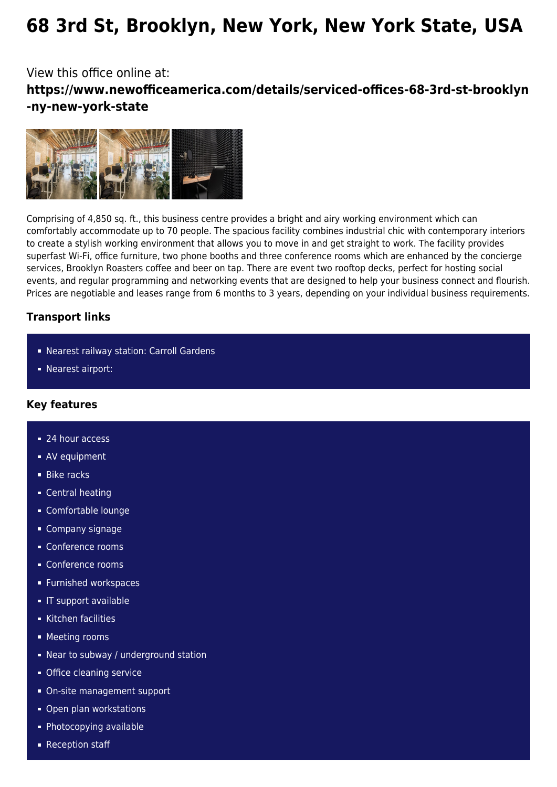# **68 3rd St, Brooklyn, New York, New York State, USA**

## View this office online at: **https://www.newofficeamerica.com/details/serviced-offices-68-3rd-st-brooklyn -ny-new-york-state**



Comprising of 4,850 sq. ft., this business centre provides a bright and airy working environment which can comfortably accommodate up to 70 people. The spacious facility combines industrial chic with contemporary interiors to create a stylish working environment that allows you to move in and get straight to work. The facility provides superfast Wi-Fi, office furniture, two phone booths and three conference rooms which are enhanced by the concierge services, Brooklyn Roasters coffee and beer on tap. There are event two rooftop decks, perfect for hosting social events, and regular programming and networking events that are designed to help your business connect and flourish. Prices are negotiable and leases range from 6 months to 3 years, depending on your individual business requirements.

### **Transport links**

- Nearest railway station: Carroll Gardens
- Nearest airport:

#### **Key features**

- 24 hour access
- **AV** equipment
- **Bike racks**
- Central heating
- Comfortable lounge
- Company signage
- Conference rooms
- Conference rooms
- **Furnished workspaces**
- **IF support available**
- Kitchen facilities
- **Meeting rooms**
- Near to subway / underground station
- **Office cleaning service**
- On-site management support
- **Open plan workstations**
- **Photocopying available**
- Reception staff